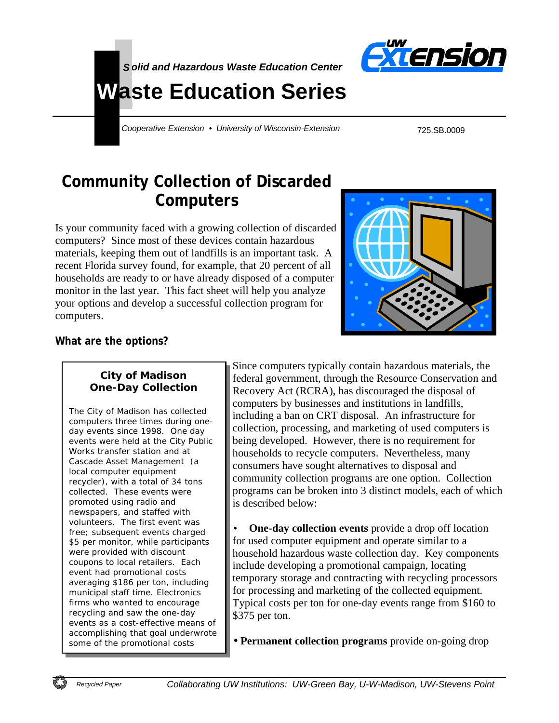



# **Waste Education Series**

*Cooperative Extension • University of Wisconsin-Extension*

725.SB.0009

# **Community Collection of Discarded Computers**

Is your community faced with a growing collection of discarded computers? Since most of these devices contain hazardous materials, keeping them out of landfills is an important task. A recent Florida survey found, for example, that 20 percent of all households are ready to or have already disposed of a computer monitor in the last year. This fact sheet will help you analyze your options and develop a successful collection program for computers.



# **What are the options?**

#### **City of Madison One-Day Collection**

The City of Madison has collected computers three times during oneday events since 1998. One day events were held at the City Public Works transfer station and at Cascade Asset Management (a local computer equipment recycler), with a total of 34 tons collected. These events were promoted using radio and newspapers, and staffed with volunteers. The first event was free; subsequent events charged \$5 per monitor, while participants were provided with discount coupons to local retailers. Each event had promotional costs averaging \$186 per ton, including municipal staff time. Electronics firms who wanted to encourage recycling and saw the one-day events as a cost-effective means of accomplishing that goal underwrote some of the promotional costs

Since computers typically contain hazardous materials, the federal government, through the Resource Conservation and Recovery Act (RCRA), has discouraged the disposal of computers by businesses and institutions in landfills, including a ban on CRT disposal. An infrastructure for collection, processing, and marketing of used computers is being developed. However, there is no requirement for households to recycle computers. Nevertheless, many consumers have sought alternatives to disposal and community collection programs are one option. Collection programs can be broken into 3 distinct models, each of which is described below:

• **One-day collection events** provide a drop off location for used computer equipment and operate similar to a household hazardous waste collection day. Key components include developing a promotional campaign, locating temporary storage and contracting with recycling processors for processing and marketing of the collected equipment. Typical costs per ton for one-day events range from \$160 to \$375 per ton.

• **Permanent collection programs** provide on-going drop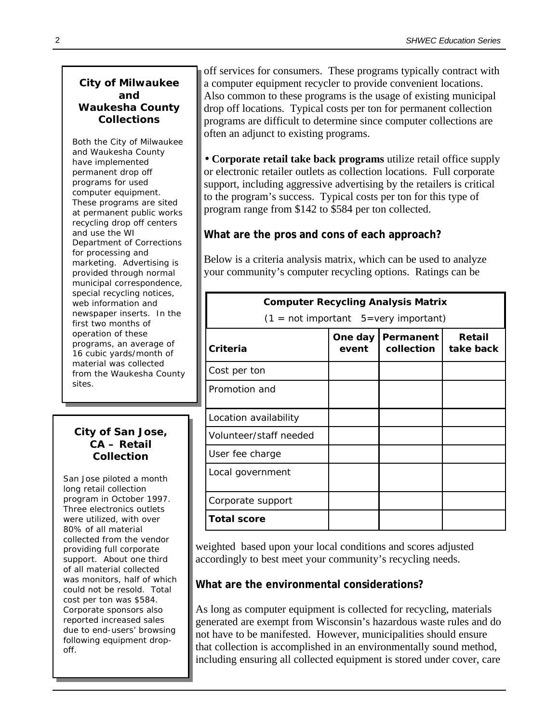#### **City of Milwaukee and Waukesha County Collections**

Both the City of Milwaukee and Waukesha County have implemented permanent drop off programs for used computer equipment. These programs are sited at permanent public works recycling drop off centers and use the WI Department of Corrections for processing and marketing. Advertising is provided through normal municipal correspondence, special recycling notices, web information and newspaper inserts. In the first two months of operation of these programs, an average of 16 cubic yards/month of material was collected from the Waukesha County sites.

#### **City of San Jose, CA – Retail Collection**

San Jose piloted a month long retail collection program in October 1997. Three electronics outlets were utilized, with over 80% of all material collected from the vendor providing full corporate support. About one third of all material collected was monitors, half of which could not be resold. Total cost per ton was \$584. Corporate sponsors also reported increased sales due to end-users' browsing following equipment dropoff.

off services for consumers. These programs typically contract with a computer equipment recycler to provide convenient locations. Also common to these programs is the usage of existing municipal drop off locations. Typical costs per ton for permanent collection programs are difficult to determine since computer collections are often an adjunct to existing programs.

• **Corporate retail take back programs** utilize retail office supply or electronic retailer outlets as collection locations. Full corporate support, including aggressive advertising by the retailers is critical to the program's success. Typical costs per ton for this type of program range from \$142 to \$584 per ton collected.

# **What are the pros and cons of each approach?**

Below is a criteria analysis matrix, which can be used to analyze your community's computer recycling options. Ratings can be

| <b>Computer Recycling Analysis Matrix</b>               |                  |                                |                     |  |  |
|---------------------------------------------------------|------------------|--------------------------------|---------------------|--|--|
| $(1 = \text{not important } 5 = \text{very important})$ |                  |                                |                     |  |  |
| Criteria                                                | One day<br>event | <b>Permanent</b><br>collection | Retail<br>take back |  |  |
| Cost per ton                                            |                  |                                |                     |  |  |
| Promotion and                                           |                  |                                |                     |  |  |
| Location availability                                   |                  |                                |                     |  |  |
| Volunteer/staff needed                                  |                  |                                |                     |  |  |
| User fee charge                                         |                  |                                |                     |  |  |
| Local government                                        |                  |                                |                     |  |  |
| Corporate support                                       |                  |                                |                     |  |  |
| <b>Total score</b>                                      |                  |                                |                     |  |  |

weighted based upon your local conditions and scores adjusted accordingly to best meet your community's recycling needs.

# **What are the environmental considerations?**

As long as computer equipment is collected for recycling, materials generated are exempt from Wisconsin's hazardous waste rules and do not have to be manifested. However, municipalities should ensure that collection is accomplished in an environmentally sound method, including ensuring all collected equipment is stored under cover, care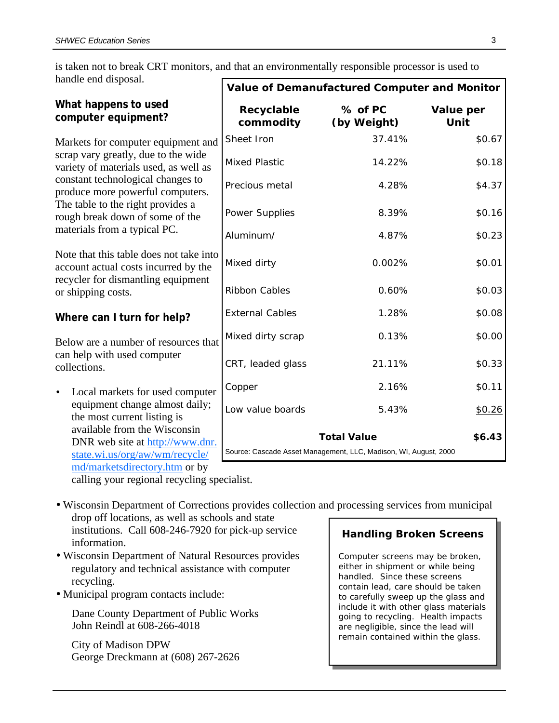is taken not to break CRT monitors, and that an environmentally responsible processor is used to handle end disposal.

|                                                                                                                                                                                                                                                                                                     | Value of Demanufactured Computer and Monitor                     |                        |                   |
|-----------------------------------------------------------------------------------------------------------------------------------------------------------------------------------------------------------------------------------------------------------------------------------------------------|------------------------------------------------------------------|------------------------|-------------------|
| What happens to used<br>computer equipment?                                                                                                                                                                                                                                                         | Recyclable<br>commodity                                          | % of PC<br>(by Weight) | Value per<br>Unit |
| Markets for computer equipment and<br>scrap vary greatly, due to the wide<br>variety of materials used, as well as<br>constant technological changes to<br>produce more powerful computers.<br>The table to the right provides a<br>rough break down of some of the<br>materials from a typical PC. | Sheet Iron                                                       | 37.41%                 | \$0.67            |
|                                                                                                                                                                                                                                                                                                     | <b>Mixed Plastic</b>                                             | 14.22%                 | \$0.18            |
|                                                                                                                                                                                                                                                                                                     | Precious metal                                                   | 4.28%                  | \$4.37            |
|                                                                                                                                                                                                                                                                                                     | Power Supplies                                                   | 8.39%                  | \$0.16            |
|                                                                                                                                                                                                                                                                                                     | Aluminum/                                                        | 4.87%                  | \$0.23            |
| Note that this table does not take into<br>account actual costs incurred by the<br>recycler for dismantling equipment<br>or shipping costs.                                                                                                                                                         | Mixed dirty                                                      | 0.002%                 | \$0.01            |
|                                                                                                                                                                                                                                                                                                     | <b>Ribbon Cables</b>                                             | 0.60%                  | \$0.03            |
| Where can I turn for help?                                                                                                                                                                                                                                                                          | <b>External Cables</b>                                           | 1.28%                  | \$0.08            |
| Below are a number of resources that                                                                                                                                                                                                                                                                | Mixed dirty scrap                                                | 0.13%                  | \$0.00            |
| can help with used computer<br>collections.                                                                                                                                                                                                                                                         | CRT, leaded glass                                                | 21.11%                 | \$0.33            |
| Local markets for used computer<br>$\bullet$                                                                                                                                                                                                                                                        | Copper                                                           | 2.16%                  | \$0.11            |
| equipment change almost daily;<br>the most current listing is                                                                                                                                                                                                                                       | Low value boards                                                 | 5.43%                  | \$0.26            |
| available from the Wisconsin                                                                                                                                                                                                                                                                        | <b>Total Value</b>                                               |                        | \$6.43            |
| DNR web site at http://www.dnr.<br>state.wi.us/org/aw/wm/recycle/                                                                                                                                                                                                                                   | Source: Cascade Asset Management, LLC, Madison, WI, August, 2000 |                        |                   |
| md/marketsdirectory.htm or by<br>calling your regional recycling specialist                                                                                                                                                                                                                         |                                                                  |                        |                   |

calling your regional recycling specialist.

• Wisconsin Department of Corrections provides collection and processing services from municipal drop off locations, as well as schools and state

institutions. Call 608-246-7920 for pick-up service information.

- Wisconsin Department of Natural Resources provides regulatory and technical assistance with computer recycling.
- Municipal program contacts include:

Dane County Department of Public Works John Reindl at 608-266-4018

City of Madison DPW George Dreckmann at (608) 267-2626

#### **Handling Broken Screens**

Computer screens may be broken, either in shipment or while being handled. Since these screens contain lead, care should be taken to carefully sweep up the glass and include it with other glass materials going to recycling. Health impacts are negligible, since the lead will remain contained within the glass.